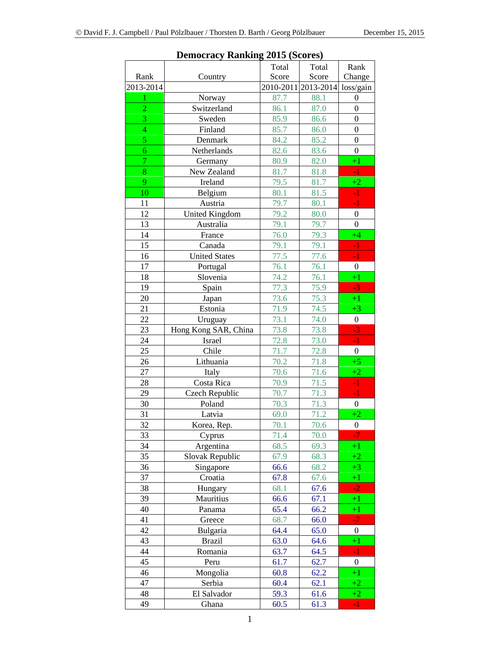|                | Democracy<br><b>TWINDING</b> | $\rightarrow$ |                     |                  |
|----------------|------------------------------|---------------|---------------------|------------------|
|                |                              | Total         | Total               | Rank             |
| Rank           | Country                      | Score         | Score               | Change           |
| 2013-2014      |                              |               | 2010-2011 2013-2014 | loss/gain        |
| $\mathbf{1}$   | Norway                       | 87.7          | 88.1                | $\boldsymbol{0}$ |
| $\overline{c}$ | Switzerland                  | 86.1          | 87.0                | $\boldsymbol{0}$ |
| 3              | Sweden                       | 85.9          | 86.6                | $\boldsymbol{0}$ |
| $\overline{4}$ | Finland                      | 85.7          | 86.0                | $\overline{0}$   |
| 5              | Denmark                      | 84.2          | 85.2                | $\overline{0}$   |
| $\overline{6}$ | Netherlands                  | 82.6          | 83.6                | $\boldsymbol{0}$ |
| $\overline{7}$ | Germany                      | 80.9          | 82.0                | $+1$             |
| 8              | New Zealand                  | 81.7          | 81.8                | $-1$             |
| 9              | Ireland                      | 79.5          | 81.7                | $+2$             |
| 10             | Belgium                      | 80.1          | 81.5                | $-1$             |
| 11             | Austria                      | 79.7          | 80.1                | $-1$             |
| 12             | <b>United Kingdom</b>        | 79.2          | 80.0                | $\boldsymbol{0}$ |
| 13             | Australia                    | 79.1          | 79.7                | $\boldsymbol{0}$ |
| 14             | France                       | 76.0          | 79.3                | $+4$             |
| 15             | Canada                       | 79.1          | 79.1                | $-1$             |
| 16             | <b>United States</b>         | 77.5          | 77.6                | $-1$             |
| 17             | Portugal                     | 76.1          | 76.1                | $\boldsymbol{0}$ |
| 18             | Slovenia                     | 74.2          | 76.1                | $+1$             |
| 19             | Spain                        | 77.3          | 75.9                | $-3$             |
| 20             | Japan                        | 73.6          | 75.3                | $+1$             |
| 21             | Estonia                      | 71.9          | 74.5                | $+3$             |
| 22             | Uruguay                      | 73.1          | 74.0                | $\boldsymbol{0}$ |
| 23             | Hong Kong SAR, China         | 73.8          | 73.8                | $-3$             |
| 24             | Israel                       | 72.8          | 73.0                | $-1$             |
| 25             | Chile                        | 71.7          | 72.8                | $\boldsymbol{0}$ |
| 26             | Lithuania                    | 70.2          | 71.8                | $+5$             |
| 27             | Italy                        | 70.6          | 71.6                | $+2$             |
| 28             | Costa Rica                   | 70.9          | 71.5                | $-1$             |
| 29             | Czech Republic               | 70.7          | 71.3                | $-1$             |
| 30             | Poland                       | 70.3          | 71.3                | $\boldsymbol{0}$ |
| 31             | Latvia                       | 69.0          | 71.2                | $+2$             |
| 32             | Korea, Rep.                  | 70.1          | 70.6                | $\boldsymbol{0}$ |
| 33             | Cyprus                       | 71.4          | 70.0                | $-7$             |
| 34             | Argentina                    | 68.5          | 69.3                | $+1$             |
| 35             | Slovak Republic              | 67.9          | 68.3                | $+2$             |
| 36             | Singapore                    | 66.6          | 68.2                | $+3$             |
| 37             | Croatia                      | 67.8          | 67.6                | $+1$             |
| 38             | Hungary                      | 68.1          | 67.6                | $-2$             |
| 39             | Mauritius                    | 66.6          | 67.1                | $+1$             |
| 40             | Panama                       | 65.4          | 66.2                | $+1$             |
|                |                              |               |                     | $-7$             |
| 41<br>42       | Greece                       | 68.7          | 66.0                |                  |
|                | Bulgaria                     | 64.4          | 65.0                | $\boldsymbol{0}$ |
| 43             | <b>Brazil</b>                | 63.0          | 64.6                | $+1$             |
| 44             | Romania                      | 63.7          | 64.5                | $-1$             |
| 45             | Peru                         | 61.7          | 62.7                | $\boldsymbol{0}$ |
| 46             | Mongolia                     | 60.8          | 62.2                | $+1$             |
| 47             | Serbia                       | 60.4          | 62.1                | $+2$             |
| 48             | El Salvador                  | 59.3          | 61.6                | $+2$             |
| 49             | Ghana                        | 60.5          | 61.3                | $-1$             |

**Democracy Ranking 2015 (Scores)**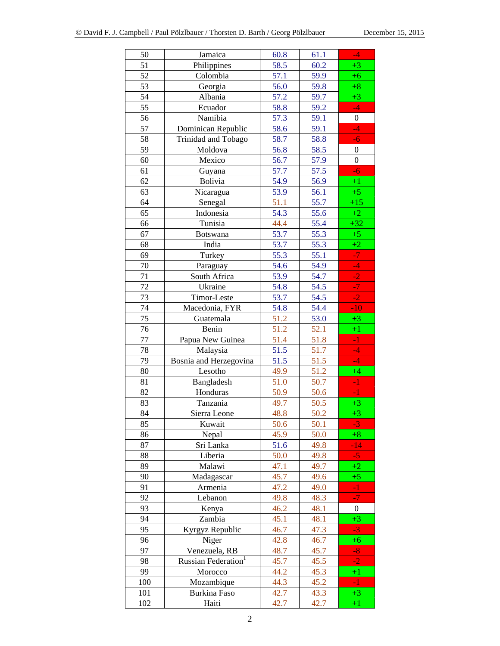| 50  | Jamaica                         | 60.8 | 61.1 | $-4$             |
|-----|---------------------------------|------|------|------------------|
| 51  | Philippines                     | 58.5 | 60.2 | $+3$             |
| 52  | Colombia                        | 57.1 | 59.9 | $+6$             |
| 53  | Georgia                         | 56.0 | 59.8 | $+8$             |
| 54  | Albania                         | 57.2 | 59.7 | $+3$             |
| 55  | Ecuador                         | 58.8 | 59.2 | $-4$             |
| 56  | Namibia                         | 57.3 | 59.1 | $\boldsymbol{0}$ |
| 57  | Dominican Republic              | 58.6 | 59.1 | 4                |
| 58  | Trinidad and Tobago             | 58.7 | 58.8 | $-6$             |
| 59  | Moldova                         | 56.8 | 58.5 | $\boldsymbol{0}$ |
| 60  | Mexico                          | 56.7 | 57.9 | $\overline{0}$   |
| 61  | Guyana                          | 57.7 | 57.5 | $-6$             |
| 62  | Bolivia                         | 54.9 | 56.9 | $+1$             |
| 63  | Nicaragua                       | 53.9 | 56.1 | $+5$             |
| 64  | Senegal                         | 51.1 | 55.7 | $+15$            |
| 65  | Indonesia                       | 54.3 | 55.6 | $+2$             |
| 66  | Tunisia                         | 44.4 | 55.4 | $+32$            |
| 67  | Botswana                        | 53.7 | 55.3 | $+5$             |
| 68  | India                           | 53.7 | 55.3 | $+2$             |
| 69  | Turkey                          | 55.3 | 55.1 | $\overline{J}$   |
| 70  | Paraguay                        | 54.6 | 54.9 | $-4$             |
| 71  | South Africa                    | 53.9 | 54.7 | $-2$             |
| 72  | Ukraine                         | 54.8 | 54.5 | $-7$             |
| 73  | Timor-Leste                     | 53.7 | 54.5 | $-2$             |
| 74  | Macedonia, FYR                  | 54.8 | 54.4 | $-10$            |
| 75  | Guatemala                       | 51.2 | 53.0 | $+3$             |
| 76  | Benin                           | 51.2 | 52.1 | $+1$             |
| 77  | Papua New Guinea                | 51.4 | 51.8 | $-1$             |
| 78  | Malaysia                        | 51.5 | 51.7 | $-4$             |
| 79  | Bosnia and Herzegovina          | 51.5 | 51.5 | $-4$             |
| 80  | Lesotho                         | 49.9 | 51.2 | $+4$             |
| 81  | Bangladesh                      | 51.0 | 50.7 | $-1$             |
| 82  | Honduras                        | 50.9 | 50.6 | $-1$             |
| 83  | Tanzania                        | 49.7 | 50.5 | $+3$             |
| 84  | Sierra Leone                    | 48.8 | 50.2 | $+3$             |
| 85  | Kuwait                          | 50.6 | 50.1 | $-3$             |
| 86  | Nepal                           | 45.9 | 50.0 | $+8$             |
| 87  | Sri Lanka                       | 51.6 | 49.8 | $-14$            |
| 88  | Liberia                         | 50.0 | 49.8 | $-5$             |
| 89  | Malawi                          | 47.1 | 49.7 | $+2$             |
| 90  | Madagascar                      | 45.7 | 49.6 | $+5$             |
| 91  | Armenia                         | 47.2 | 49.0 | $-1$             |
| 92  | Lebanon                         | 49.8 | 48.3 | $-7$             |
| 93  | Kenya                           | 46.2 | 48.1 | $\boldsymbol{0}$ |
| 94  | Zambia                          | 45.1 | 48.1 | $+3$             |
| 95  | Kyrgyz Republic                 | 46.7 | 47.3 | $-3$             |
| 96  | Niger                           | 42.8 | 46.7 | $+6$             |
| 97  | Venezuela, RB                   | 48.7 | 45.7 | $-8$             |
| 98  | Russian Federation <sup>1</sup> | 45.7 | 45.5 | $-2$             |
| 99  | Morocco                         | 44.2 | 45.3 | $+1$             |
| 100 | Mozambique                      | 44.3 | 45.2 | $-1$             |
| 101 | <b>Burkina Faso</b>             | 42.7 | 43.3 | $+3$             |
| 102 | Haiti                           | 42.7 | 42.7 | $+1$             |